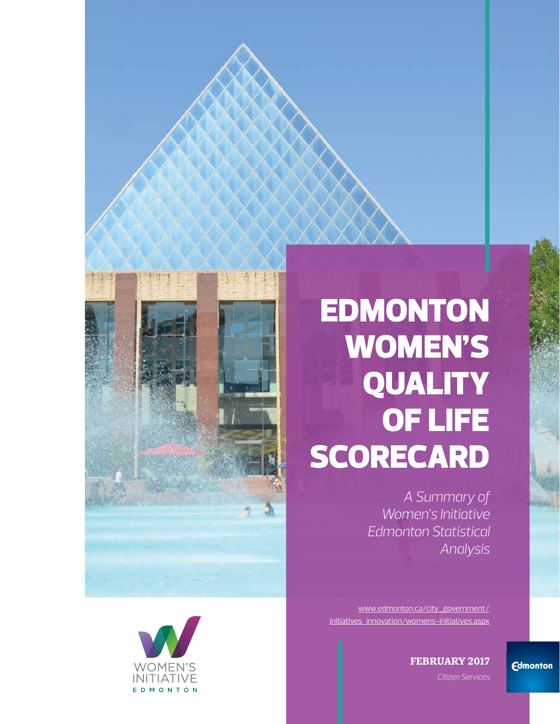# EDMONTON WOMEN'S **QUALITY** OF LIFE **SCORECARD**

*A Summary of Women's Initiative Edmonton Statistical Analysis* 

[www.edmonton.ca/city\\_government/](https://www.edmonton.ca/city_government/initiatives_innovation/womens-initiatives.aspx)  [initiatives\\_innovation/womens-initiatives.aspx](https://www.edmonton.ca/city_government/initiatives_innovation/womens-initiatives.aspx)

**FEBRUARY 2017**

 *Citizen Services*





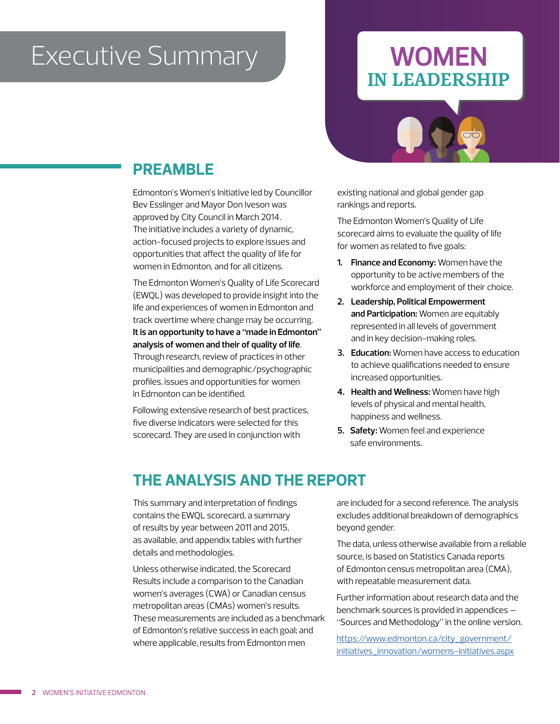## **Executive Summary**

#### **WOMEN** IN LEADERSHIP



#### **PREAMBLE**

Edmonton's Women's Initiative led by Councillor Bev Esslinger and Mayor Don Iveson was approved by City Council in March 2014. The initiative includes a variety of dynamic, action-focused projects to explore issues and opportunities that affect the quality of life for women in Edmonton, and for all citizens.

The Edmonton Women's Quality of Life Scorecard (EWQL) was developed to provide insight into the life and experiences of women in Edmonton and track overtime where change may be occurring. **It is an opportunity to have a "made in Edmonton" analysis of women and their of quality of life**. Through research, review of practices in other municipalities and demographic/psychographic profiles, issues and opportunities for women in Edmonton can be identified.

Following extensive research of best practices, five diverse indicators were selected for this scorecard. They are used in conjunction with

existing national and global gender gap rankings and reports.

The Edmonton Women's Quality of Life scorecard aims to evaluate the quality of life for women as related to five goals:

- **1. Finance and Economy:** Women have the opportunity to be active members of the workforce and employment of their choice.
- **2. Leadership, Political Empowerment and Participation:** Women are equitably represented in all levels of government and in key decision-making roles.
- **3. Education:** Women have access to education to achieve qualifications needed to ensure increased opportunities.
- **4. Health and Wellness:** Women have high levels of physical and mental health, happiness and wellness.
- **5. Safety:** Women feel and experience safe environments.

#### **THE ANALYSIS AND THE REPORT**

This summary and interpretation of findings contains the EWQL scorecard, a summary of results by year between 2011 and 2015, as available, and appendix tables with further details and methodologies.

Unless otherwise indicated, the Scorecard Results include a comparison to the Canadian women's averages (CWA) or Canadian census metropolitan areas (CMAs) women's results. These measurements are included as a benchmark of Edmonton's relative success in each goal; and where applicable, results from Edmonton men

are included for a second reference. The analysis excludes additional breakdown of demographics beyond gender.

The data, unless otherwise available from a reliable source, is based on Statistics Canada reports of Edmonton census metropolitan area (CMA), with repeatable measurement data.

Further information about research data and the benchmark sources is provided in appendices – "Sources and Methodology" in the online version.

[https://www.edmonton.ca/city\\_government/](https://www.edmonton.ca/city_government/initiatives_innovation/womens-initiatives.aspx) [initiatives\\_innovation/womens-initiatives.aspx](https://www.edmonton.ca/city_government/initiatives_innovation/womens-initiatives.aspx)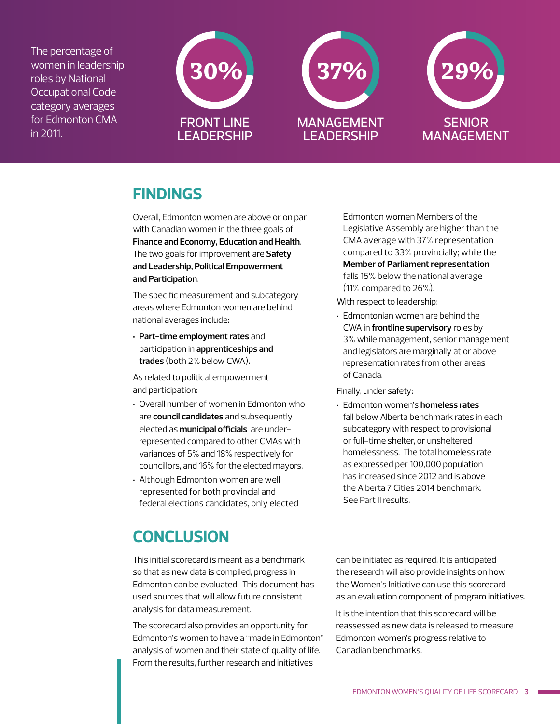The percentage of women in leadership roles by National Occupational Code category averages for Edmonton CMA in 2011.



#### **FINDINGS**

Overall, Edmonton women are above or on par with Canadian women in the three goals of **Finance and Economy, Education and Health**. The two goals for improvement are **Safety and Leadership, Political Empowerment and Participation**.

The specific measurement and subcategory areas where Edmonton women are behind national averages include:

**· Part-time employment rates** and participation in **apprenticeships and trades** (both 2% below CWA).

As related to political empowerment and participation:

- **·** Overall number of women in Edmonton who are **council candidates** and subsequently elected as **municipal officials** are underrepresented compared to other CMAs with variances of 5% and 18% respectively for councillors, and 16% for the elected mayors.
- **·** Although Edmonton women are well represented for both provincial and federal elections candidates, only elected

Edmonton women Members of the Legislative Assembly are higher than the CMA average with 37% representation compared to 33% provincially; while the **Member of Parliament representation** falls 15% below the national average (11% compared to 26%).

With respect to leadership:

**·** Edmontonian women are behind the CWA in **frontline supervisory** roles by 3% while management, senior management and legislators are marginally at or above representation rates from other areas of Canada.

Finally, under safety:

**·** Edmonton women's **homeless rates** fall below Alberta benchmark rates in each subcategory with respect to provisional or full-time shelter, or unsheltered homelessness. The total homeless rate as expressed per 100,000 population has increased since 2012 and is above the Alberta 7 Cities 2014 benchmark. See Part II results.

#### **CONCLUSION**

This initial scorecard is meant as a benchmark so that as new data is compiled, progress in Edmonton can be evaluated. This document has used sources that will allow future consistent analysis for data measurement.

The scorecard also provides an opportunity for Edmonton's women to have a "made in Edmonton" analysis of women and their state of quality of life. From the results, further research and initiatives

can be initiated as required. It is anticipated the research will also provide insights on how the Women's Initiative can use this scorecard as an evaluation component of program initiatives.

It is the intention that this scorecard will be reassessed as new data is released to measure Edmonton women's progress relative to Canadian benchmarks.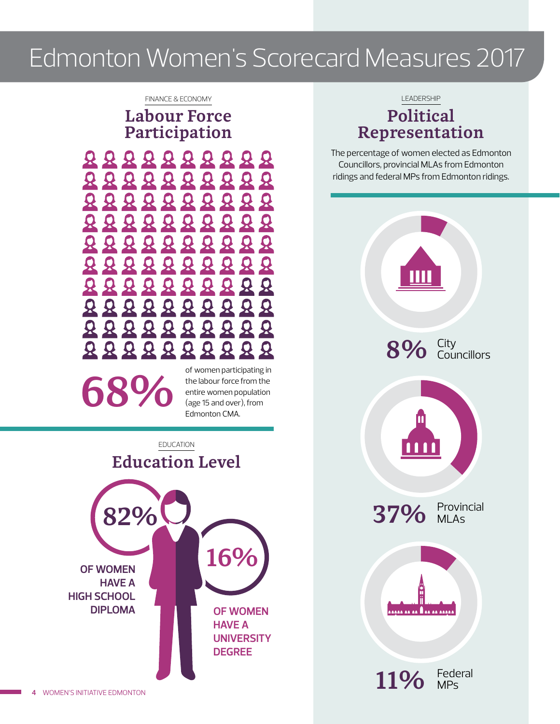### Edmonton Women's Scorecard Measures 2017

#### FINANCE & ECONOMY

Labour Force Participation



the labour force from the computation of the labour force from the entire women population

of women participating in the labour force from the entire women population Edmonton CMA.



LEADERSHIP

#### Political Representation

The percentage of women elected as Edmonton Councillors, provincial MLAs from Edmonton ridings and federal MPs from Edmonton ridings.

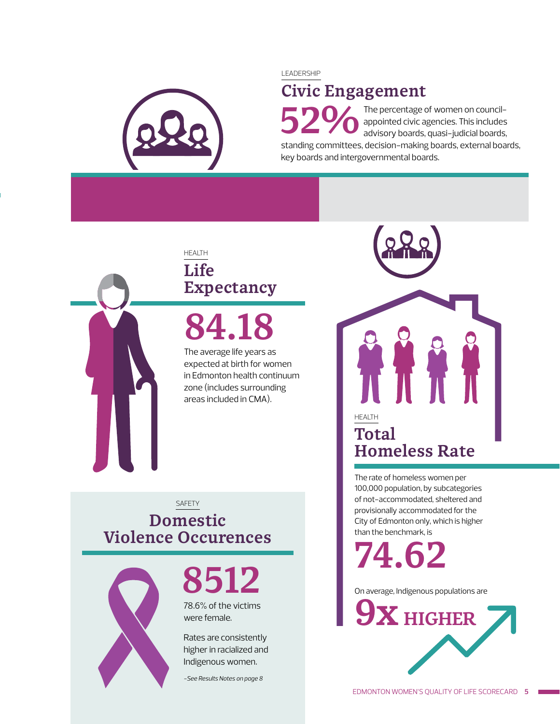

#### LEADERSHIP

#### Civic Engagement

The percentage of women on councilappointed civic agencies. This includes advisory boards, quasi-judicial boards, standing committees, decision-making boards, external boards, key boards and intergovernmental boards. 52%



#### HEALTH Life Expectancy

84.18

The average life years as expected at birth for women in Edmonton health continuum zone (includes surrounding areas included in CMA).

#### SAFETY Domestic Violence Occurences



# 8512

78.6% of the victims were female.

Rates are consistently higher in racialized and Indigenous women.

*-See Results Notes on page 8*

HEALTH Total Homeless Rate

The rate of homeless women per 100,000 population, by subcategories of not-accommodated, sheltered and provisionally accommodated for the City of Edmonton only, which is higher than the benchmark, is

74.62

On average, Indigenous populations are

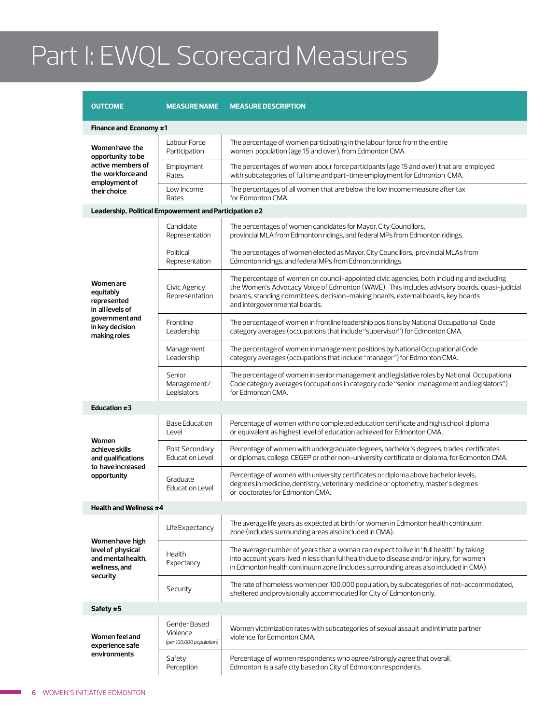# Part I: EWQL Scorecard Measures

| <b>OUTCOME</b>                                                                          | <b>MEASURE NAME</b>                                  | <b>MEASURE DESCRIPTION</b>                                                                                                                                                                                                                                                                                     |
|-----------------------------------------------------------------------------------------|------------------------------------------------------|----------------------------------------------------------------------------------------------------------------------------------------------------------------------------------------------------------------------------------------------------------------------------------------------------------------|
| Finance and Economy #1                                                                  |                                                      |                                                                                                                                                                                                                                                                                                                |
| Women have the<br>opportunity to be                                                     | Labour Force<br>Participation                        | The percentage of women participating in the labour force from the entire<br>women population (age 15 and over), from Edmonton CMA.                                                                                                                                                                            |
| active members of<br>the workforce and<br>employment of                                 | Employment<br>Rates                                  | The percentages of women labour force participants (age 15 and over) that are employed<br>with subcategories of full time and part-time employment for Edmonton CMA.                                                                                                                                           |
| their choice                                                                            | Low Income<br>Rates                                  | The percentages of all women that are below the low income measure after tax<br>for Edmonton CMA.                                                                                                                                                                                                              |
| Leadership, Political Empowerment and Participation #2                                  |                                                      |                                                                                                                                                                                                                                                                                                                |
|                                                                                         | Candidate<br>Representation                          | The percentages of women candidates for Mayor, City Councillors,<br>provincial MLA from Edmonton ridings, and federal MPs from Edmonton ridings.                                                                                                                                                               |
|                                                                                         | Political<br>Representation                          | The percentages of women elected as Mayor, City Councillors, provincial MLAs from<br>Edmonton ridings, and federal MPs from Edmonton ridings.                                                                                                                                                                  |
| <b>Women</b> are<br>equitably<br>represented<br>in all levels of                        | Civic Agency<br>Representation                       | The percentage of women on council-appointed civic agencies, both including and excluding<br>the Women's Advocacy Voice of Edmonton (WAVE). This includes advisory boards, quasi-judicial<br>boards, standing committees, decision-making boards, external boards, key boards<br>and intergovernmental boards. |
| government and<br>in key decision<br>making roles                                       | Frontline<br>Leadership                              | The percentage of women in frontline leadership positions by National Occupational Code<br>category averages (occupations that include "supervisor") for Edmonton CMA.                                                                                                                                         |
|                                                                                         | Management<br>Leadership                             | The percentage of women in management positions by National Occupational Code<br>category averages (occupations that include "manager") for Edmonton CMA.                                                                                                                                                      |
|                                                                                         | Senior<br>Management/<br>Legislators                 | The percentage of women in senior management and legislative roles by National Occupational<br>Code category averages (occupations in category code "senior management and legislators")<br>for Edmonton CMA.                                                                                                  |
| Education #3                                                                            |                                                      |                                                                                                                                                                                                                                                                                                                |
| Women                                                                                   | <b>Base Education</b><br>Level                       | Percentage of women with no completed education certificate and high school diploma<br>or equivalent as highest level of education achieved for Edmonton CMA.                                                                                                                                                  |
| achieve skills<br>and qualifications                                                    | Post Secondary<br>Education Level                    | Percentage of women with undergraduate degrees, bachelor's degrees, trades certificates<br>or diplomas, college, CEGEP or other non-university certificate or diploma, for Edmonton CMA.                                                                                                                       |
| to have increased<br>opportunity                                                        | Graduate<br>Education Level                          | Percentage of women with university certificates or diploma above bachelor levels,<br>degrees in medicine, dentistry, veterinary medicine or optometry, master's degrees<br>or doctorates for Edmonton CMA.                                                                                                    |
| <b>Health and Wellness #4</b>                                                           |                                                      |                                                                                                                                                                                                                                                                                                                |
|                                                                                         | Life Expectancy                                      | The average life years as expected at birth for women in Edmonton health continuum<br>zone (includes surrounding areas also included in CMA).                                                                                                                                                                  |
| Women have high<br>level of physical<br>and mental health,<br>wellness, and<br>security | Health<br>Expectancy                                 | The average number of years that a woman can expect to live in "full health" by taking<br>into account years lived in less than full health due to disease and/or injury, for women<br>in Edmonton health continuum zone (includes surrounding areas also included in CMA).                                    |
|                                                                                         | Security                                             | The rate of homeless women per 100,000 population, by subcategories of not-accommodated,<br>sheltered and provisionally accommodated for City of Edmonton only.                                                                                                                                                |
| Safety #5                                                                               |                                                      |                                                                                                                                                                                                                                                                                                                |
| Women feel and<br>experience safe                                                       | Gender Based<br>Violence<br>(per 100,000 population) | Women victimization rates with subcategories of sexual assault and intimate partner<br>violence for Edmonton CMA.                                                                                                                                                                                              |
| environments                                                                            | Safety<br>Perception                                 | Percentage of women respondents who agree/strongly agree that overall,<br>Edmonton is a safe city based on City of Edmonton respondents.                                                                                                                                                                       |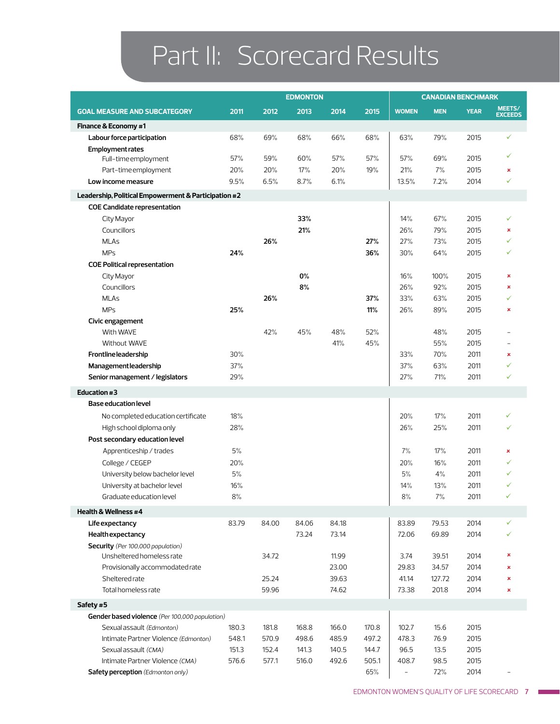# Part II: Scorecard Results

|                                                      |       |       | <b>EDMONTON</b> |       |       |                          | <b>CANADIAN BENCHMARK</b> |             |                          |
|------------------------------------------------------|-------|-------|-----------------|-------|-------|--------------------------|---------------------------|-------------|--------------------------|
| <b>GOAL MEASURE AND SUBCATEGORY</b>                  | 2011  | 2012  | 2013            | 2014  | 2015  | <b>WOMEN</b>             | <b>MEN</b>                | <b>YEAR</b> | MEETS/<br><b>EXCEEDS</b> |
| Finance & Economy #1                                 |       |       |                 |       |       |                          |                           |             |                          |
| Labour force participation                           | 68%   | 69%   | 68%             | 66%   | 68%   | 63%                      | 79%                       | 2015        | ✓                        |
| <b>Employment rates</b>                              |       |       |                 |       |       |                          |                           |             |                          |
| Full-time employment                                 | 57%   | 59%   | 60%             | 57%   | 57%   | 57%                      | 69%                       | 2015        | ✓                        |
| Part-time employment                                 | 20%   | 20%   | 17%             | 20%   | 19%   | 21%                      | 7%                        | 2015        | ×                        |
| Low income measure                                   | 9.5%  | 6.5%  | 8.7%            | 6.1%  |       | 13.5%                    | 7.2%                      | 2014        | ✓                        |
| Leadership, Political Empowerment & Participation #2 |       |       |                 |       |       |                          |                           |             |                          |
| <b>COE Candidate representation</b>                  |       |       |                 |       |       |                          |                           |             |                          |
| City Mayor                                           |       |       | 33%             |       |       | 14%                      | 67%                       | 2015        |                          |
| Councillors                                          |       |       | 21%             |       |       | 26%                      | 79%                       | 2015        | ×                        |
| <b>MLAs</b>                                          |       | 26%   |                 |       | 27%   | 27%                      | 73%                       | 2015        | ✓                        |
| <b>MPs</b>                                           | 24%   |       |                 |       | 36%   | 30%                      | 64%                       | 2015        |                          |
| <b>COE Political representation</b>                  |       |       |                 |       |       |                          |                           |             |                          |
| City Mayor                                           |       |       | 0%              |       |       | 16%                      | 100%                      | 2015        | ×                        |
| Councillors                                          |       |       | 8%              |       |       | 26%                      | 92%                       | 2015        | ×                        |
| <b>MLAs</b>                                          |       | 26%   |                 |       | 37%   | 33%                      | 63%                       | 2015        |                          |
| <b>MPs</b>                                           | 25%   |       |                 |       | 11%   | 26%                      | 89%                       | 2015        | ×                        |
| Civic engagement                                     |       |       |                 |       |       |                          |                           |             |                          |
| With WAVE                                            |       | 42%   | 45%             | 48%   | 52%   |                          | 48%                       | 2015        |                          |
| Without WAVE                                         |       |       |                 | 41%   | 45%   |                          | 55%                       | 2015        |                          |
| <b>Frontline leadership</b>                          | 30%   |       |                 |       |       | 33%                      | 70%                       | 2011        | ×                        |
| Management leadership                                | 37%   |       |                 |       |       | 37%                      | 63%                       | 2011        |                          |
| Senior management / legislators                      | 29%   |       |                 |       |       | 27%                      | 71%                       | 2011        | ✓                        |
| Education #3                                         |       |       |                 |       |       |                          |                           |             |                          |
| <b>Base education level</b>                          |       |       |                 |       |       |                          |                           |             |                          |
| No completed education certificate                   | 18%   |       |                 |       |       | 20%                      | 17%                       | 2011        |                          |
| High school diploma only                             | 28%   |       |                 |       |       | 26%                      | 25%                       | 2011        |                          |
| Post secondary education level                       |       |       |                 |       |       |                          |                           |             |                          |
| Apprenticeship / trades                              | 5%    |       |                 |       |       | 7%                       | 17%                       | 2011        | ×                        |
| College / CEGEP                                      | 20%   |       |                 |       |       | 20%                      | 16%                       | 2011        |                          |
| University below bachelor level                      | 5%    |       |                 |       |       | 5%                       | 4%                        | 2011        |                          |
| University at bachelor level                         | 16%   |       |                 |       |       | 14%                      | 13%                       | 2011        |                          |
| Graduate education level                             | $8%$  |       |                 |       |       | $8\%$                    | 7%                        | 2011        | ✓                        |
| Health & Wellness #4                                 |       |       |                 |       |       |                          |                           |             |                          |
| Life expectancy                                      | 83.79 | 84.00 | 84.06           | 84.18 |       | 83.89                    | 79.53                     | 2014        | ✓                        |
| Health expectancy                                    |       |       | 73.24           | 73.14 |       | 72.06                    | 69.89                     | 2014        |                          |
| Security (Per 100,000 population)                    |       |       |                 |       |       |                          |                           |             |                          |
| Unsheltered homeless rate                            |       | 34.72 |                 | 11.99 |       | 3.74                     | 39.51                     | 2014        | ×                        |
| Provisionally accommodated rate                      |       |       |                 | 23.00 |       | 29.83                    | 34.57                     | 2014        | ×                        |
| Sheltered rate                                       |       | 25.24 |                 | 39.63 |       | 41.14                    | 127.72                    | 2014        | ×                        |
| Total homeless rate                                  |       | 59.96 |                 | 74.62 |       | 73.38                    | 201.8                     | 2014        | ×                        |
| Safety #5                                            |       |       |                 |       |       |                          |                           |             |                          |
| Gender based violence (Per 100,000 population)       |       |       |                 |       |       |                          |                           |             |                          |
| Sexual assault (Edmonton)                            | 180.3 | 181.8 | 168.8           | 166.0 | 170.8 | 102.7                    | 15.6                      | 2015        |                          |
| Intimate Partner Violence (Edmonton)                 | 548.1 | 570.9 | 498.6           | 485.9 | 497.2 | 478.3                    | 76.9                      | 2015        |                          |
| Sexual assault (CMA)                                 | 151.3 | 152.4 | 141.3           | 140.5 | 144.7 | 96.5                     | 13.5                      | 2015        |                          |
| Intimate Partner Violence (CMA)                      | 576.6 | 577.1 | 516.0           | 492.6 | 505.1 | 408.7                    | 98.5                      | 2015        |                          |
| Safety perception (Edmonton only)                    |       |       |                 |       | 65%   | $\overline{\phantom{a}}$ | 72%                       | 2014        |                          |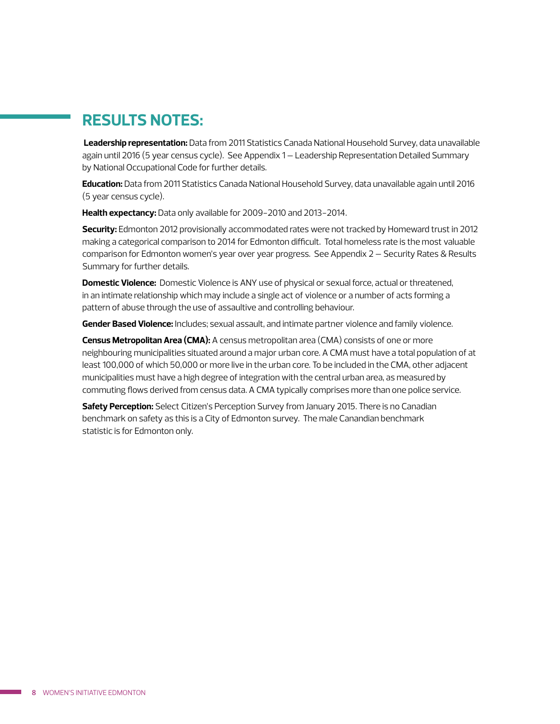#### **RESULTS NOTES:**

**Leadership representation:** Data from 2011 Statistics Canada National Household Survey, data unavailable again until 2016 (5 year census cycle). See Appendix 1 – Leadership Representation Detailed Summary by National Occupational Code for further details.

**Education:** Data from 2011 Statistics Canada National Household Survey, data unavailable again until 2016 (5 year census cycle).

**Health expectancy:** Data only available for 2009-2010 and 2013-2014.

**Security:** Edmonton 2012 provisionally accommodated rates were not tracked by Homeward trust in 2012 making a categorical comparison to 2014 for Edmonton difficult. Total homeless rate is the most valuable comparison for Edmonton women's year over year progress. See Appendix 2 – Security Rates & Results Summary for further details.

**Domestic Violence:** Domestic Violence is ANY use of physical or sexual force, actual or threatened, in an intimate relationship which may include a single act of violence or a number of acts forming a pattern of abuse through the use of assaultive and controlling behaviour.

**Gender Based Violence:** Includes; sexual assault, and intimate partner violence and family violence.

**Census Metropolitan Area (CMA):** A census metropolitan area (CMA) consists of one or more neighbouring municipalities situated around a major urban core. A CMA must have a total population of at least 100,000 of which 50,000 or more live in the urban core. To be included in the CMA, other adjacent municipalities must have a high degree of integration with the central urban area, as measured by commuting flows derived from census data. A CMA typically comprises more than one police service.

**Safety Perception:** Select Citizen's Perception Survey from January 2015. There is no Canadian benchmark on safety as this is a City of Edmonton survey. The male Canandian benchmark statistic is for Edmonton only.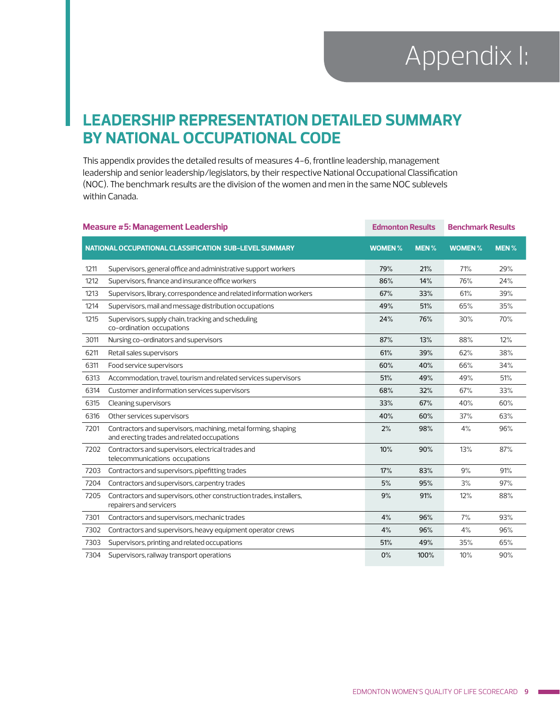#### **LEADERSHIP REPRESENTATION DETAILED SUMMARY BY NATIONAL OCCUPATIONAL CODE**

This appendix provides the detailed results of measures 4-6, frontline leadership, management leadership and senior leadership/legislators, by their respective National Occupational Classification (NOC). The benchmark results are the division of the women and men in the same NOC sublevels within Canada.

|      | <b>Measure #5: Management Leadership</b>                                                                      | <b>Edmonton Results</b> |      | <b>Benchmark Results</b> |             |
|------|---------------------------------------------------------------------------------------------------------------|-------------------------|------|--------------------------|-------------|
|      | NATIONAL OCCUPATIONAL CLASSIFICATION SUB-LEVEL SUMMARY                                                        | <b>WOMEN%</b>           | MEN% | <b>WOMEN%</b>            | <b>MEN%</b> |
| 1211 | Supervisors, general office and administrative support workers                                                | 79%                     | 21%  | 71%                      | 29%         |
| 1212 | Supervisors, finance and insurance office workers                                                             | 86%                     | 14%  | 76%                      | 24%         |
| 1213 | Supervisors, library, correspondence and related information workers                                          | 67%                     | 33%  | 61%                      | 39%         |
| 1214 | Supervisors, mail and message distribution occupations                                                        | 49%                     | 51%  | 65%                      | 35%         |
| 1215 | Supervisors, supply chain, tracking and scheduling<br>co-ordination occupations                               | 24%                     | 76%  | 30%                      | 70%         |
| 3011 | Nursing co-ordinators and supervisors                                                                         | 87%                     | 13%  | 88%                      | 12%         |
| 6211 | Retail sales supervisors                                                                                      | 61%                     | 39%  | 62%                      | 38%         |
| 6311 | Food service supervisors                                                                                      | 60%                     | 40%  | 66%                      | 34%         |
| 6313 | Accommodation, travel, tourism and related services supervisors                                               | 51%                     | 49%  | 49%                      | 51%         |
| 6314 | Customer and information services supervisors                                                                 | 68%                     | 32%  | 67%                      | 33%         |
| 6315 | Cleaning supervisors                                                                                          | 33%                     | 67%  | 40%                      | 60%         |
| 6316 | Other services supervisors                                                                                    | 40%                     | 60%  | 37%                      | 63%         |
| 7201 | Contractors and supervisors, machining, metal forming, shaping<br>and erecting trades and related occupations | 2%                      | 98%  | 4%                       | 96%         |
| 7202 | Contractors and supervisors, electrical trades and<br>telecommunications occupations                          | 10%                     | 90%  | 13%                      | 87%         |
| 7203 | Contractors and supervisors, pipefitting trades                                                               | 17%                     | 83%  | 9%                       | 91%         |
| 7204 | Contractors and supervisors, carpentry trades                                                                 | 5%                      | 95%  | 3%                       | 97%         |
| 7205 | Contractors and supervisors, other construction trades, installers,<br>repairers and servicers                | 9%                      | 91%  | 12%                      | 88%         |
| 7301 | Contractors and supervisors, mechanic trades                                                                  | 4%                      | 96%  | 7%                       | 93%         |
| 7302 | Contractors and supervisors, heavy equipment operator crews                                                   | 4%                      | 96%  | 4%                       | 96%         |
| 7303 | Supervisors, printing and related occupations                                                                 | 51%                     | 49%  | 35%                      | 65%         |
| 7304 | Supervisors, railway transport operations                                                                     | 0%                      | 100% | 10%                      | 90%         |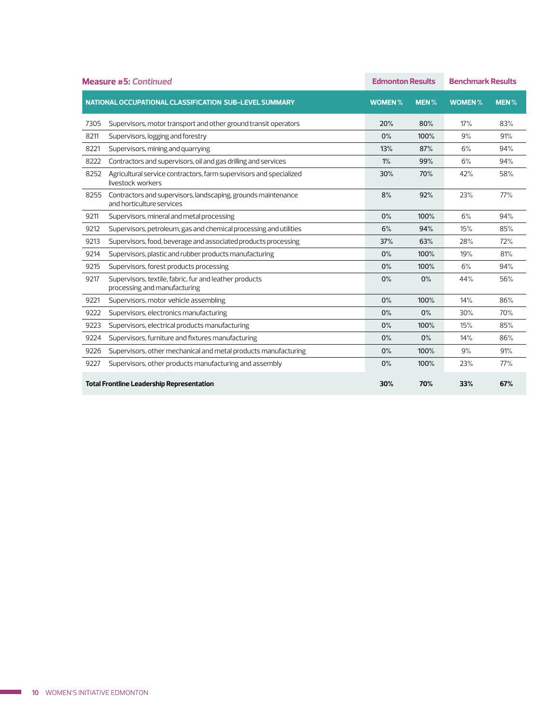|      | <b>Measure #5: Continued</b>                                                               | <b>Edmonton Results</b> |      | <b>Benchmark Results</b> |                  |
|------|--------------------------------------------------------------------------------------------|-------------------------|------|--------------------------|------------------|
|      | NATIONAL OCCUPATIONAL CLASSIFICATION SUB-LEVEL SUMMARY                                     | <b>WOMEN%</b>           | MEN% | <b>WOMEN%</b>            | MEN <sub>%</sub> |
| 7305 | Supervisors, motor transport and other ground transit operators                            | 20%                     | 80%  | 17%                      | 83%              |
| 8211 | Supervisors, logging and forestry                                                          | 0%                      | 100% | 9%                       | 91%              |
| 8221 | Supervisors, mining and quarrying                                                          | 13%                     | 87%  | 6%                       | 94%              |
| 8222 | Contractors and supervisors, oil and gas drilling and services                             | 1%                      | 99%  | 6%                       | 94%              |
| 8252 | Agricultural service contractors, farm supervisors and specialized<br>livestock workers    | 30%                     | 70%  | 42%                      | 58%              |
| 8255 | Contractors and supervisors, landscaping, grounds maintenance<br>and horticulture services | 8%                      | 92%  | 23%                      | 77%              |
| 9211 | Supervisors, mineral and metal processing                                                  | 0%                      | 100% | 6%                       | 94%              |
| 9212 | Supervisors, petroleum, gas and chemical processing and utilities                          | 6%                      | 94%  | 15%                      | 85%              |
| 9213 | Supervisors, food, beverage and associated products processing                             | 37%                     | 63%  | 28%                      | 72%              |
| 9214 | Supervisors, plastic and rubber products manufacturing                                     | 0%                      | 100% | 19%                      | 81%              |
| 9215 | Supervisors, forest products processing                                                    | 0%                      | 100% | 6%                       | 94%              |
| 9217 | Supervisors, textile, fabric, fur and leather products<br>processing and manufacturing     | 0%                      | 0%   | 44%                      | 56%              |
| 9221 | Supervisors, motor vehicle assembling                                                      | 0%                      | 100% | 14%                      | 86%              |
| 9222 | Supervisors, electronics manufacturing                                                     | 0%                      | 0%   | 30%                      | 70%              |
| 9223 | Supervisors, electrical products manufacturing                                             | 0%                      | 100% | 15%                      | 85%              |
| 9224 | Supervisors, furniture and fixtures manufacturing                                          | 0%                      | 0%   | 14%                      | 86%              |
| 9226 | Supervisors, other mechanical and metal products manufacturing                             | 0%                      | 100% | 9%                       | 91%              |
| 9227 | Supervisors, other products manufacturing and assembly                                     | 0%                      | 100% | 23%                      | 77%              |
|      | <b>Total Frontline Leadership Representation</b>                                           | 30%                     | 70%  | 33%                      | 67%              |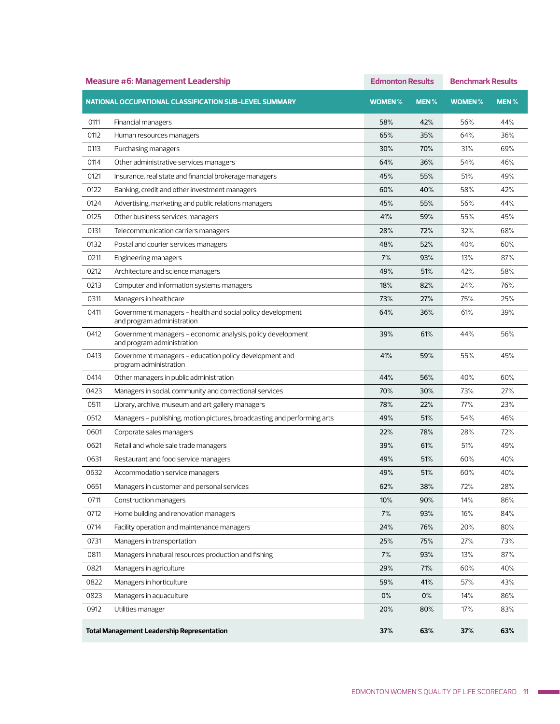|      | <b>Measure #6: Management Leadership</b>                                                  | <b>Edmonton Results</b> |             | <b>Benchmark Results</b> |             |
|------|-------------------------------------------------------------------------------------------|-------------------------|-------------|--------------------------|-------------|
|      | NATIONAL OCCUPATIONAL CLASSIFICATION SUB-LEVEL SUMMARY                                    | <b>WOMEN</b> %          | <b>MEN%</b> | <b>WOMEN %</b>           | <b>MEN%</b> |
| 0111 | Financial managers                                                                        | 58%                     | 42%         | 56%                      | 44%         |
| 0112 | Human resources managers                                                                  | 65%                     | 35%         | 64%                      | 36%         |
| 0113 | Purchasing managers                                                                       | 30%                     | 70%         | 31%                      | 69%         |
| 0114 | Other administrative services managers                                                    | 64%                     | 36%         | 54%                      | 46%         |
| 0121 | Insurance, real state and financial brokerage managers                                    | 45%                     | 55%         | 51%                      | 49%         |
| 0122 | Banking, credit and other investment managers                                             | 60%                     | 40%         | 58%                      | 42%         |
| 0124 | Advertising, marketing and public relations managers                                      | 45%                     | 55%         | 56%                      | 44%         |
| 0125 | Other business services managers                                                          | 41%                     | 59%         | 55%                      | 45%         |
| 0131 | Telecommunication carriers managers                                                       | 28%                     | 72%         | 32%                      | 68%         |
| 0132 | Postal and courier services managers                                                      | 48%                     | 52%         | 40%                      | 60%         |
| 0211 | Engineering managers                                                                      | 7%                      | 93%         | 13%                      | 87%         |
| 0212 | Architecture and science managers                                                         | 49%                     | 51%         | 42%                      | 58%         |
| 0213 | Computer and information systems managers                                                 | 18%                     | 82%         | 24%                      | 76%         |
| 0311 | Managers in healthcare                                                                    | 73%                     | 27%         | 75%                      | 25%         |
| 0411 | Government managers - health and social policy development<br>and program administration  | 64%                     | 36%         | 61%                      | 39%         |
| 0412 | Government managers - economic analysis, policy development<br>and program administration | 39%                     | 61%         | 44%                      | 56%         |
| 0413 | Government managers - education policy development and<br>program administration          | 41%                     | 59%         | 55%                      | 45%         |
| 0414 | Other managers in public administration                                                   | 44%                     | 56%         | 40%                      | 60%         |
| 0423 | Managers in social, community and correctional services                                   | 70%                     | 30%         | 73%                      | 27%         |
| 0511 | Library, archive, museum and art gallery managers                                         | 78%                     | 22%         | 77%                      | 23%         |
| 0512 | Managers - publishing, motion pictures, broadcasting and performing arts                  | 49%                     | 51%         | 54%                      | 46%         |
| 0601 | Corporate sales managers                                                                  | 22%                     | 78%         | 28%                      | 72%         |
| 0621 | Retail and whole sale trade managers                                                      | 39%                     | 61%         | 51%                      | 49%         |
| 0631 | Restaurant and food service managers                                                      | 49%                     | 51%         | 60%                      | 40%         |
| 0632 | Accommodation service managers                                                            | 49%                     | 51%         | 60%                      | 40%         |
| 0651 | Managers in customer and personal services                                                | 62%                     | 38%         | 12%                      | 28%         |
| 0711 | Construction managers                                                                     | 10%                     | 90%         | 14%                      | 86%         |
| 0712 | Home building and renovation managers                                                     | 7%                      | 93%         | 16%                      | 84%         |
| 0714 | Facility operation and maintenance managers                                               | 24%                     | 76%         | 20%                      | 80%         |
| 0731 | Managers in transportation                                                                | 25%                     | 75%         | 27%                      | 73%         |
| 0811 | Managers in natural resources production and fishing                                      | 7%                      | 93%         | 13%                      | 87%         |
| 0821 | Managers in agriculture                                                                   | 29%                     | 71%         | 60%                      | 40%         |
| 0822 | Managers in horticulture                                                                  | 59%                     | 41%         | 57%                      | 43%         |
| 0823 | Managers in aquaculture                                                                   | $0\%$                   | $0\%$       | 14%                      | 86%         |
| 0912 | Utilities manager                                                                         | 20%                     | 80%         | 17%                      | 83%         |
|      | <b>Total Management Leadership Representation</b>                                         | 37%                     | 63%         | 37%                      | 63%         |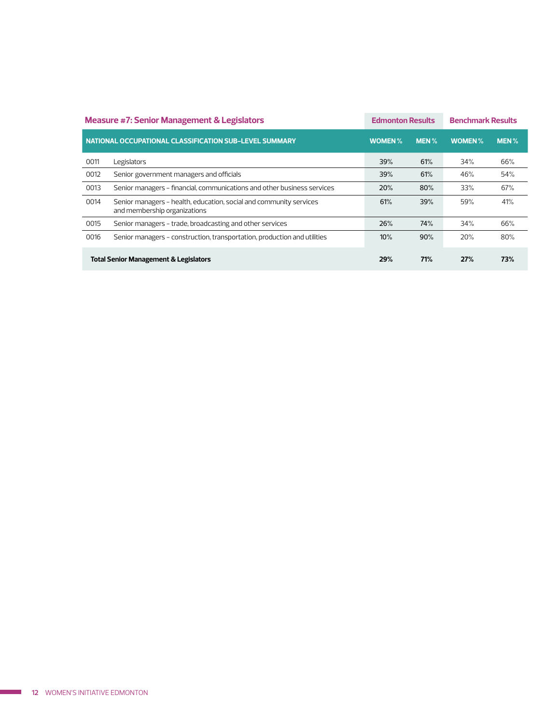|      | <b>Measure #7: Senior Management &amp; Legislators</b>                                             | <b>Edmonton Results</b> |          | <b>Benchmark Results</b> |      |
|------|----------------------------------------------------------------------------------------------------|-------------------------|----------|--------------------------|------|
|      | NATIONAL OCCUPATIONAL CLASSIFICATION SUB-LEVEL SUMMARY                                             | <b>WOMEN%</b>           | $MEN \%$ | <b>WOMEN%</b>            | MEN% |
| 0011 | Legislators                                                                                        | 39%                     | 61%      | 34%                      | 66%  |
| 0012 | Senior government managers and officials                                                           | 39%                     | 61%      | 46%                      | 54%  |
| 0013 | Senior managers - financial, communications and other business services                            | 20%                     | 80%      | 33%                      | 67%  |
| 0014 | Senior managers - health, education, social and community services<br>and membership organizations | 61%                     | 39%      | 59%                      | 41%  |
| 0015 | Senior managers - trade, broadcasting and other services                                           | 26%                     | 74%      | 34%                      | 66%  |
| 0016 | Senior managers - construction, transportation, production and utilities                           | 10%                     | 90%      | 20%                      | 80%  |
|      | <b>Total Senior Management &amp; Legislators</b>                                                   | 29%                     | 71%      | 27%                      | 73%  |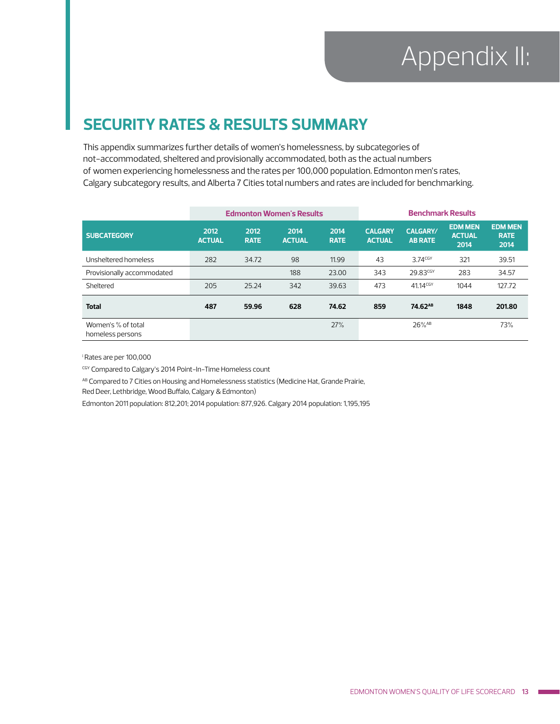#### **SECURITY RATES & RESULTS SUMMARY**

This appendix summarizes further details of women's homelessness, by subcategories of not-accommodated, sheltered and provisionally accommodated, both as the actual numbers of women experiencing homelessness and the rates per 100,000 population. Edmonton men's rates, Calgary subcategory results, and Alberta 7 Cities total numbers and rates are included for benchmarking.

|                                        |                       |                     | <b>Edmonton Women's Results</b> |                     |                                 | <b>Benchmark Results</b>          |                                         |                                       |
|----------------------------------------|-----------------------|---------------------|---------------------------------|---------------------|---------------------------------|-----------------------------------|-----------------------------------------|---------------------------------------|
| <b>SUBCATEGORY</b>                     | 2012<br><b>ACTUAL</b> | 2012<br><b>RATE</b> | 2014<br><b>ACTUAL</b>           | 2014<br><b>RATE</b> | <b>CALGARY</b><br><b>ACTUAL</b> | <b>CALGARY/</b><br><b>AB RATE</b> | <b>EDM MEN</b><br><b>ACTUAL</b><br>2014 | <b>EDM MEN</b><br><b>RATE</b><br>2014 |
| Unsheltered homeless                   | 282                   | 34.72               | 98                              | 11.99               | 43                              | $3.74$ <sup>CGY</sup>             | 321                                     | 39.51                                 |
| Provisionally accommodated             |                       |                     | 188                             | 23,00               | 343                             | 29.83 <sup>CGY</sup>              | 283                                     | 34.57                                 |
| Sheltered                              | 205                   | 25.24               | 342                             | 39.63               | 473                             | 41.14 <sup>CGY</sup>              | 1044                                    | 127.72                                |
| <b>Total</b>                           | 487                   | 59.96               | 628                             | 74.62               | 859                             | 74.62 <sup>AB</sup>               | 1848                                    | 201.80                                |
| Women's % of total<br>homeless persons |                       |                     |                                 | 27%                 |                                 | $26\%$ <sup>AB</sup>              |                                         | 73%                                   |

i Rates are per 100,000

CGY Compared to Calgary's 2014 Point-In-Time Homeless count

AB Compared to 7 Cities on Housing and Homelessness statistics (Medicine Hat, Grande Prairie,

Red Deer, Lethbridge, Wood Buffalo, Calgary & Edmonton)

Edmonton 2011 population: 812,201; 2014 population: 877,926. Calgary 2014 population: 1,195,195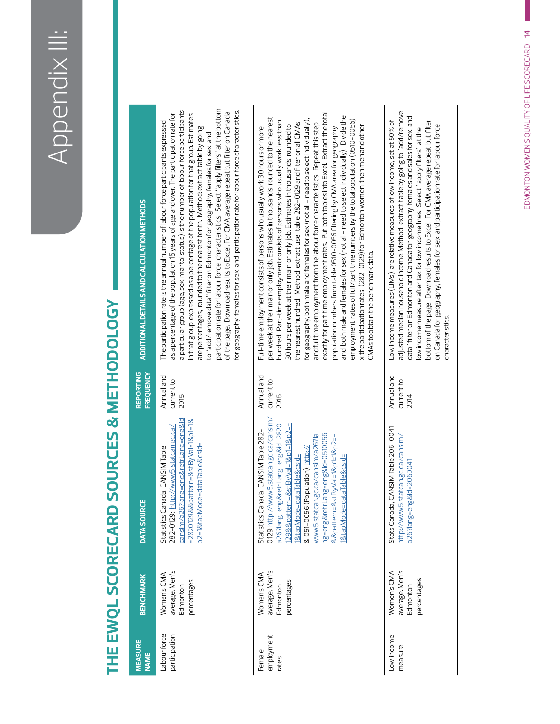# THE EWQL SCORECARD SOURCES & METHODOLOGY **THE EWQL SCORECARD SOURCES & METHODOLOGY**

| <b>MEASURE</b><br><b>NAME</b> | <b>BENCHMARK</b>                                         | <b>DATA SOURCE</b>                                                                                                                                                                                                                                                                                                                                                  | <b>FREQUENCY</b><br><b>REPORTING</b> | ADDITIONAL DETAILS AND CALCULATION METHODS                                                                                                                                                                                                                                                                                                                                                                                                                                                                                                                                                                                                                                                                                                                                                                                                                                                                                                                                                                                                                                 |
|-------------------------------|----------------------------------------------------------|---------------------------------------------------------------------------------------------------------------------------------------------------------------------------------------------------------------------------------------------------------------------------------------------------------------------------------------------------------------------|--------------------------------------|----------------------------------------------------------------------------------------------------------------------------------------------------------------------------------------------------------------------------------------------------------------------------------------------------------------------------------------------------------------------------------------------------------------------------------------------------------------------------------------------------------------------------------------------------------------------------------------------------------------------------------------------------------------------------------------------------------------------------------------------------------------------------------------------------------------------------------------------------------------------------------------------------------------------------------------------------------------------------------------------------------------------------------------------------------------------------|
| Labour force<br>participation | average. Men's<br>Women's CMA<br>percentages<br>Edmonton | cansim/a26?lang=eng&retrLang=eng&id<br>=2820129&&pattern=&stByVal=1&p1=1&<br>282-0129: http://www5.statcan.gc.ca/<br>p2=1&tabMode=dataTable&csid=<br>Statistics Canada, CANSIM Table                                                                                                                                                                                | Annual and<br>current to<br>2015     | participation rate for labour force characteristics. Select "apply filters" at the bottom<br>a particular group (age, sex, marital status) is the number of labour force participants<br>for geography, females for sex, and participation rate for labour force characteristics.<br>of the page. Download results to Excel. For CMA average repeat but filter on Canada<br>as a percentage of the population 15 years of age and over. The participation rate for<br>in that group expressed as a percentage of the population for that group. Estimates<br>The participation rate is the annual number of labour force participants expressed<br>are percentages, rounded to the nearest tenth. Method: extract table by going<br>to "add/remove data" filter on Edmonton for geography, females for sex, and                                                                                                                                                                                                                                                            |
| employment<br>Female<br>rates | average. Men's<br>Women's CMA<br>percentages<br>Edmonton | 0129: http://www5.statcan.gc.ca/cansim/<br>a26?lang=eng&retrLang=eng&id=2820<br>129&&pattern=&stByVal=1&p1=1&p2=-<br>Statistics Canada, CANSIM Table 282-<br>ng=eng&retrLang=eng&id=0510056<br>www5.statcan.gc.ca/cansim/a26?la<br>&&pattern=&stByVal=1&p1=1&p2=-<br>& 051-0056 (Population): http://<br>I&tabMode=dataTable&csid=<br>aTable&csid=<br>1&tabMode=dat | Annual and<br>current to<br>2015     | exactly for part time employment rates. Put both tables into Excel. Extract the total<br>and both male and females for sex (not all - need to select individually). Divide the<br>per week at their main or only job. Estimates in thousands, rounded to the nearest<br>for geography, both male and females for sex (not all - need to select individually),<br>employment rates of full/part time numbers by the total population (0510-0056)<br>hundred. Part-time employment consists of persons who usually work less than<br>the nearest hundred. Method: extract use table 282-0129 and filter on all CMAs<br>and full time employment from the labour force characteristics. Repeat this step<br>30 hours per week at their main or only job. Estimates in thousands, rounded to<br>x the participation rates (282-0129) for Edmonton women, then men and other<br>Full-time employment consists of persons who usually work 30 hours or more<br>population numbers from table 0510-0056 filtering by CMA area for geography<br>CMAs to obtain the benchmark data. |
| Low income<br>measure         | average. Men's<br>Women's CMA<br>percentages<br>Edmonton | Stats Canada, CANSIM Table 206-0041<br>http://www5.statcan.gc.ca/cansim/<br>a26?lang=eng&id=2060041                                                                                                                                                                                                                                                                 | Annual and<br>current to<br>2014     | adjusted median household income. Method: extract table by going to "add/remove<br>data" filter on Edmonton and Canada for geography, females and sales for sex, and<br>Low income measures (LIMs), are relative measures of low income, set at 50% of<br>bottom of the page. Download results to Excel. For CMA average repeat but filter<br>on Canada for geography, females for sex, and participation rate for labour force<br>ow income measure after tax for low income lines. Select "apply filters" at the<br>characteristics.                                                                                                                                                                                                                                                                                                                                                                                                                                                                                                                                     |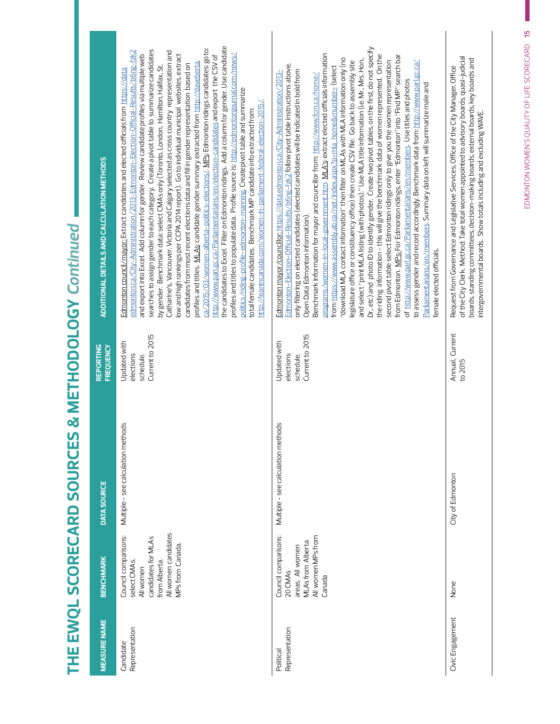| ֚֚֚֚֬   |
|---------|
|         |
|         |
| j       |
| THE EWO |
|         |
|         |

| <b>MEASURE NAME</b>         | <b>BENCHMARK</b>                                                                                                                                 | <b>DATA SOURCE</b>                     | <b>REPORTING</b><br>FREQUENCY                             | ADDITIONAL DETAILS AND CALCULATION METHODS                                                                                                                                                                                                                                                                                                                                                                                                                                                                                                                                                                                                                                                                                                                                                                                                                                                                                                                                                                                                                                                                                                                                                                                                                                                                                                                                                                                                                                                                                                                                  |
|-----------------------------|--------------------------------------------------------------------------------------------------------------------------------------------------|----------------------------------------|-----------------------------------------------------------|-----------------------------------------------------------------------------------------------------------------------------------------------------------------------------------------------------------------------------------------------------------------------------------------------------------------------------------------------------------------------------------------------------------------------------------------------------------------------------------------------------------------------------------------------------------------------------------------------------------------------------------------------------------------------------------------------------------------------------------------------------------------------------------------------------------------------------------------------------------------------------------------------------------------------------------------------------------------------------------------------------------------------------------------------------------------------------------------------------------------------------------------------------------------------------------------------------------------------------------------------------------------------------------------------------------------------------------------------------------------------------------------------------------------------------------------------------------------------------------------------------------------------------------------------------------------------------|
| Representation<br>Candidate | All women candidates<br>Council comparisons:<br>candidates for MLAs<br>MPs from Canada.<br>select CMA <sub>S</sub><br>from Alberta.<br>All women | hods<br>Multiple - see calculation met | Current to 2015<br>Updated with<br>elections<br>schedule. | the candidates to Excel. Filter on Edmonton ridings. Add a column for gender. Use candidate<br>ca/2015/03/women-alberta-politics-elections/. MPs: Edmontonridings candidates: goto:<br>searches to assign gender to each category. Create a pivot table to summarize candidates<br>edmonton.ca/City-Administration/2013-Edmonton-Election-Official-Results/b6ng-fzk2<br>Catharine's, Vancouver, Victoria and Calgary selected as cross country representation and<br>ow and high rankings per CCPA 2014 report). Go to individual municipal websites, extract<br>http://www.parl.gc.ca/Parliamentarians/en/election-candidates andexport the CSV of<br>and export into Excel. Add column for gender. Review candidate profiles via multiple web<br>profiles and titles to populate data. Profile source is: http://edmontonjournal.com/news/<br>profiles and titles. MLAs: candidate gender summary extracted from http://daveberta.<br>candidates from most recent elections data and fill in gender representation based on<br>by gender. Benchmark data: select CMAs only (Toronto, London, Hamilton, Halifax, St.<br>Edmonton council/mayor: Extract candidates and elected officials from https://data<br>oolitics/riding-profile-edmonton-manning. Createpivot table and summarize<br>http://leanincanada.com/women-in-parliament-federal-election-2015/.<br>total female candidates. Benchmark MP candidate info extracted from:                                                                                                                                     |
| Representation<br>Political | Council comparisons:<br>All women MPs from<br><b>MLAs from Alberta.</b><br>areas. All women<br>20 CMAs<br>Canada                                 | Multiple - see calculation methods     | Current to 2015<br>Updated with<br>elections<br>schedule. | Dr., etc) and photo ID to identify gender. Create two pivot tables, on the first, do not specify<br>programs/women-in-local-government.htm. MLA's extract elected officials information<br>the riding information - this will give the benchmark data of women represented. On the<br>from Edmonton. <u>MPs: F</u> or Edmonton ridings, enter "Edmonton" into "Find MP" search bar<br>'download MLA contact information" then filter on MLAs with MLA information only (no<br>and select "print MLA listing (with photos)." Use MLA title information (i.e. Mr., Mrs. Hon.,<br>legislature office or constituency office) then create CSV file. Go back to assembly site<br>second pivot table select Edmonton ridings only to give you the women representation<br>gc.ca/<br>Edmonton-Election-Official-Results/b6ng-fzk2 follow pivot table instructions above,<br>from: https://www.assembly.ab.ca/net/index.aspx?p=mla_home&rnumber= (select<br>only filtering on elected candidates (elected candidates will be indicated in bold from<br>Edmonton mayor/councillor: https://data.edmonton.ca/City-Administration/2013-<br>Benchmark information for mayor and councillor from: $\frac{\text{http://www.fcm.ca/home/}}{\text{http://www.fcm.ca/home/}}$<br>of http://www.parl.gc.ca/Parliamentarians/en/members. Use titles and photos<br>to assess gender and record accordingly. Benchmark data from: http://www.parl.<br>Parliamentarians/en/members. Summary data on left will summarize male and<br>Open Data Edmonton information).<br>female elected officials. |
| Civic Engagement            | None                                                                                                                                             | City of Edmonton                       | Annual, Current<br>to 2015                                | of the City Clerk. Method: Take total women appointed to advisory boards, quasi-judicial<br>boards, standing committees, decision-making boards, external boards, key boards and<br>Request from Governance and Legislative Services, Office of the City Manager, Office<br>intergovernmental boards. Show totals including and excluding WAVE.                                                                                                                                                                                                                                                                                                                                                                                                                                                                                                                                                                                                                                                                                                                                                                                                                                                                                                                                                                                                                                                                                                                                                                                                                             |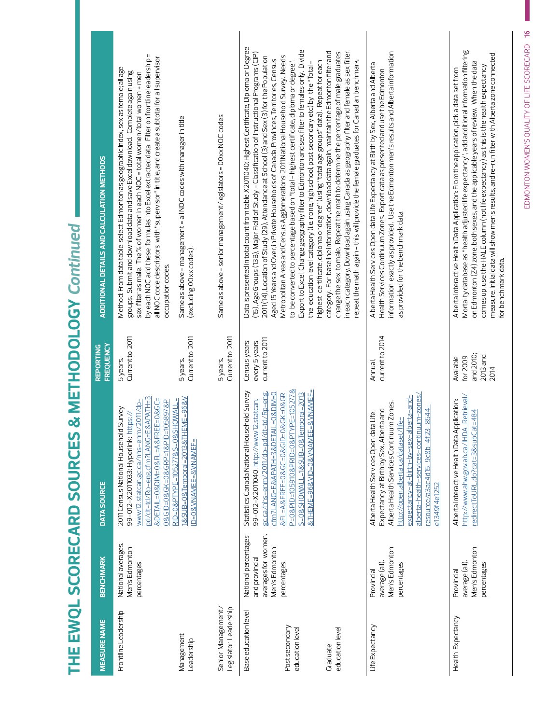|                                                        | ADDITIONAL DETAILS AND CALCULATION METHODS | by each NOC add these formulas into Excel extracted data. Filter on frontline leadership =<br>all NOC code descriptors with "supervisor" in title, and create a subtotal for all supervisor<br>Method: From data table, select Edmonton as geographic index, sex as female; all age<br>groups. Submit and download data and save Excel download. Complete again using<br>sex filter as male. The % of women in each NOC = total women/total women + men<br>occupation codes. | Same as above - management = all NOC codes with manager in title<br>(excluding 00 xx codes). | Same as above - senior management/legislators = 00xx NOC codes | Data is presented in total count from table X2011040: Highest Certificate, Diploma or Degree<br>(15), Age Groups (13B), Major Field of Study - Classification of Instructional Programs (CIP)<br>2011 (14), Location of Study (29), Attendance at School (3) and Sex (3) for the Population<br>Aged 15 Years and Over, in Private Households of Canada, Provinces, Territories, Census | Export to Excel. Change geography filter to Edmonton and sex filter to females only. Divide<br>Metropolitan Areas and Census Agglomerations, 2011 National Household Survey. Needs<br>highest certificate, diploma or degree" (using "total age groups" data). Repeat for each<br>to be converted to percentage based on "total - highest certificate, diploma or degree"<br>the education level category (i.e. none, high school, post secondary etc) by the "Total - | in each category. Download again using Canada as geography filter and female as sex filter,<br>category. For baseline information, download data again, maintain the Edmonton filter and<br>change the sex to male. Repeat the math to determine the percentage of male graduates<br>repeat the math again - this will provide the female graduates for Canadian benchmark. | information exactly as provided. Use the Edmonton men's results and Alberta information<br>Alberta Health Services Open data Life Expectancy at Birth by Sex, Alberta and Alberta<br>Health Services Continuum Zones. Export data as presented and use the Edmonton<br>as provided for the benchmark data.                   | Mortality database as "health adjusted life expectancy", add additional information filtering<br>measure. Initial data will show men's results, and re-run filter with Alberta zone connected<br>on Edmonton (Z4) zone, both sexes, and the applicable years of review. When the data<br>comes up, use the HALE column (not life expectancy) as this is the health expectancy<br>Alberta Interactive Health Data Application: From the application, pick a data set from<br>for benchmark data. |
|--------------------------------------------------------|--------------------------------------------|------------------------------------------------------------------------------------------------------------------------------------------------------------------------------------------------------------------------------------------------------------------------------------------------------------------------------------------------------------------------------------------------------------------------------------------------------------------------------|----------------------------------------------------------------------------------------------|----------------------------------------------------------------|----------------------------------------------------------------------------------------------------------------------------------------------------------------------------------------------------------------------------------------------------------------------------------------------------------------------------------------------------------------------------------------|------------------------------------------------------------------------------------------------------------------------------------------------------------------------------------------------------------------------------------------------------------------------------------------------------------------------------------------------------------------------------------------------------------------------------------------------------------------------|-----------------------------------------------------------------------------------------------------------------------------------------------------------------------------------------------------------------------------------------------------------------------------------------------------------------------------------------------------------------------------|------------------------------------------------------------------------------------------------------------------------------------------------------------------------------------------------------------------------------------------------------------------------------------------------------------------------------|-------------------------------------------------------------------------------------------------------------------------------------------------------------------------------------------------------------------------------------------------------------------------------------------------------------------------------------------------------------------------------------------------------------------------------------------------------------------------------------------------|
|                                                        | <b>FREQUENCY</b><br><b>REPORTING</b>       | 5 years.<br>Current to 2011                                                                                                                                                                                                                                                                                                                                                                                                                                                  | Current to 2011<br>5years.                                                                   | Current to 2011<br>5 years.                                    | current to 2011<br>Census years;<br>every 5 years,                                                                                                                                                                                                                                                                                                                                     |                                                                                                                                                                                                                                                                                                                                                                                                                                                                        |                                                                                                                                                                                                                                                                                                                                                                             | current to 2014                                                                                                                                                                                                                                                                                                              | and 2010;<br>$2013$ and<br>for 2009<br>Available                                                                                                                                                                                                                                                                                                                                                                                                                                                |
| I LE EMAÑE SCAKE CHE SONKER SE LE LE LE PONTOR LE LEGI | DATA SOURCE                                | pd/dt-td/Rp-eng.cfm?LANG=E&APATH=3<br>&DETAIL=0&DIM=0&FL=A&FREE=0&GC=<br>0&GID=0&GK=0&GRP=1&PID=105897&P<br>www.v12.statcan.gc.ca/nhs-enm/2011/dp-<br>2011 Census National Household Survey<br>99-012-X2011033: Hyperlink: https://                                                                                                                                                                                                                                          | 1&SUB=0&Temporal=2013&THEME=96&V<br>RID=0&PTYPE=105277&S=0&SHOWALL=<br>ID=0&VNAMEE=&VNAMEF=  |                                                                | Statistics Canada National Household Survey<br>gc.ca/nhs-enm/2011/dp-pd/dt-td/Rp-eng.<br>cfm?LANG=E&APATH=3&DETAIL=0&DIM=0<br>99-012-X2011040. http://www12.statcan.                                                                                                                                                                                                                   | P=0&PID=105910&PRID=0&PTYPE=105277&<br>&THEME=96&VID=0&VNAMEE=&VNAMEF=<br>S=0&SHOWALL=1&SUB=0&Temporal=2013<br>&FL=A&FREE=0&GC=0&GID=0&GK=0&GR                                                                                                                                                                                                                                                                                                                         |                                                                                                                                                                                                                                                                                                                                                                             | Annual,<br>alberta-health-services-continuum-zones/<br>expectancy-at-birth-by-sex-alberta-and-<br>Alberta Health Services Continuum Zones.<br>resource/a3ac4d15-9c8b-4f23-8544-<br>Expectancy at Birth by Sex, Alberta and<br>Alberta Health Services Open data Life<br>http://open.alberta.ca/dataset/life-<br>e1349f4e1252 | 2014<br>http://www.ahw.gov.ab.ca/IHDA_Retrieval/<br>Alberta Interactive Health Data Application:<br>redirectToURL.do?cat=3&subCat=484                                                                                                                                                                                                                                                                                                                                                           |
|                                                        | <b>BENCHMARK</b>                           | National averages.<br>Men's Edmonton<br>percentages                                                                                                                                                                                                                                                                                                                                                                                                                          |                                                                                              |                                                                | averages for women.<br>National percentages<br>Men's Edmonton<br>and provincial                                                                                                                                                                                                                                                                                                        | percentages                                                                                                                                                                                                                                                                                                                                                                                                                                                            |                                                                                                                                                                                                                                                                                                                                                                             | Men's Edmonton<br>average (all)<br>percentages<br>Provincial                                                                                                                                                                                                                                                                 | Men's Edmonton<br>average (all)<br>percentages<br>Provincial                                                                                                                                                                                                                                                                                                                                                                                                                                    |
|                                                        | <b>MEASURE NAME</b>                        | Frontline Leadership                                                                                                                                                                                                                                                                                                                                                                                                                                                         | Management<br>Leadership                                                                     | Legislator Leadership<br>Senior Management/                    | Base education level                                                                                                                                                                                                                                                                                                                                                                   | Post secondary<br>education level                                                                                                                                                                                                                                                                                                                                                                                                                                      | education level<br>Graduate                                                                                                                                                                                                                                                                                                                                                 | Life Expectancy                                                                                                                                                                                                                                                                                                              | Health Expectancy                                                                                                                                                                                                                                                                                                                                                                                                                                                                               |

# $\tilde{a}$ **THE EWQL SCORECARD SOURCES & METHODOLOGY** *Continued*THE EWAL SCOPECAPD SOLIPCES & METHODOLOGY Continu